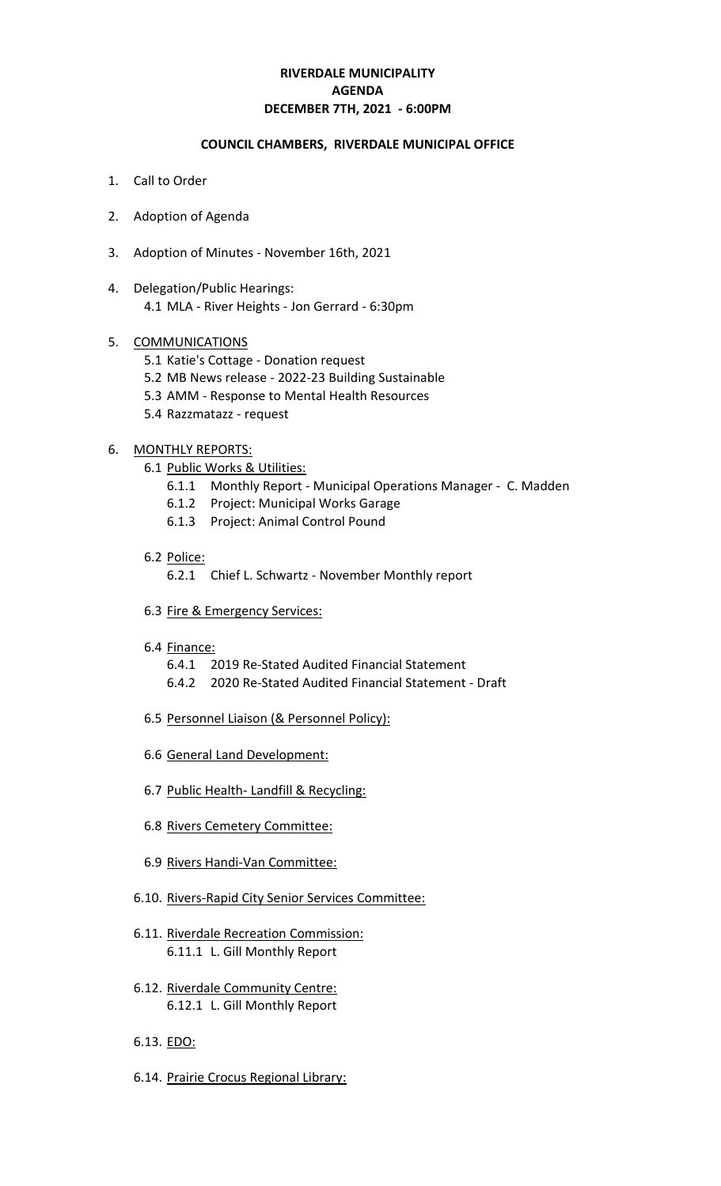# **RIVERDALE MUNICIPALITY DECEMBER 7TH, 2021 - 6:00PM AGENDA**

#### **COUNCIL CHAMBERS, RIVERDALE MUNICIPAL OFFICE**

- 1. Call to Order
- 2. Adoption of Agenda
- 3. Adoption of Minutes November 16th, 2021
- 4. Delegation/Public Hearings: 4.1 MLA - River Heights - Jon Gerrard - 6:30pm

#### 5. COMMUNICATIONS

- 5.1 Katie's Cottage Donation request
- 5.2 MB News release 2022-23 Building Sustainable
- 5.3 AMM Response to Mental Health Resources
- 5.4 Razzmatazz request

#### 6. MONTHLY REPORTS:

- 6.1 Public Works & Utilities:
	- 6.1.1 Monthly Report Municipal Operations Manager C. Madden
	- 6.1.2 Project: Municipal Works Garage
	- 6.1.3 Project: Animal Control Pound

#### 6.2 Police:

- 6.2.1 Chief L. Schwartz November Monthly report
- 6.3 Fire & Emergency Services:
- 6.4 Finance:
	- 6.4.1 2019 Re-Stated Audited Financial Statement
	- 6.4.2 2020 Re-Stated Audited Financial Statement Draft
- 6.5 Personnel Liaison (& Personnel Policy):
- 6.6 General Land Development:
- 6.7 Public Health- Landfill & Recycling:
- 6.8 Rivers Cemetery Committee:
- 6.9 Rivers Handi-Van Committee:
- 6.10. Rivers-Rapid City Senior Services Committee:
- 6.11. Riverdale Recreation Commission: 6.11.1 L. Gill Monthly Report
- 6.12. Riverdale Community Centre: 6.12.1 L. Gill Monthly Report
- 6.13. EDO:
- 6.14. Prairie Crocus Regional Library: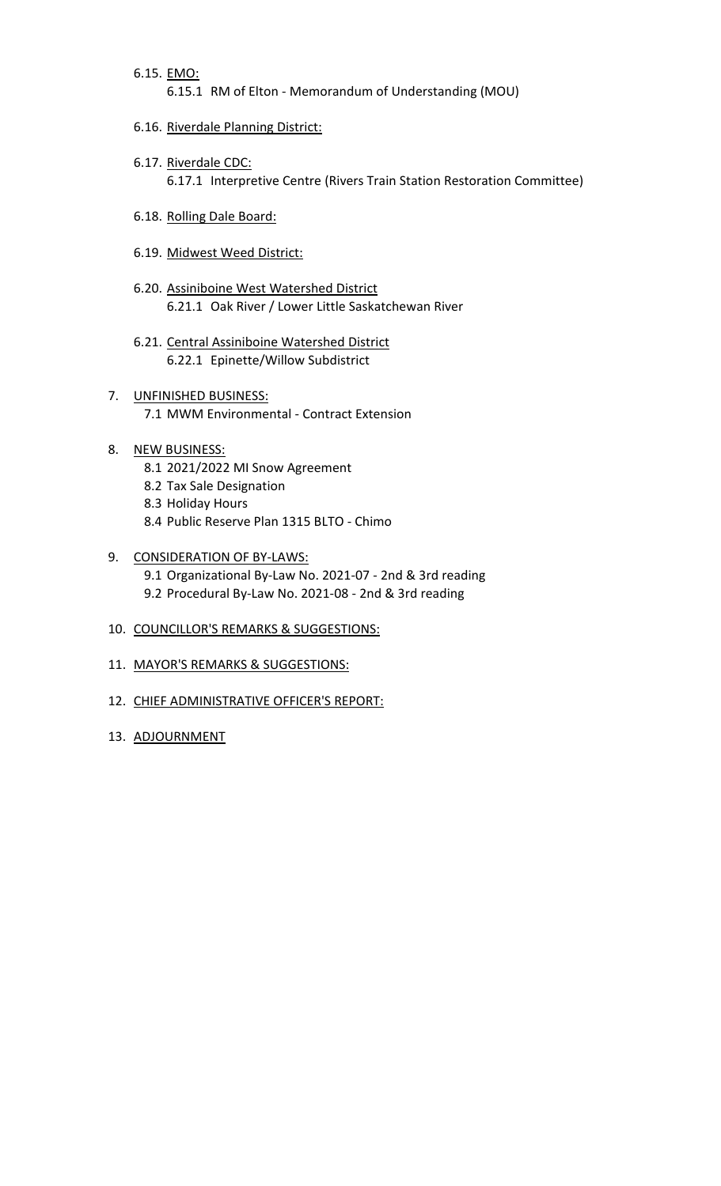6.15. EMO:

6.15.1 RM of Elton - Memorandum of Understanding (MOU)

- 6.16. Riverdale Planning District:
- 6.17. Riverdale CDC: 6.17.1 Interpretive Centre (Rivers Train Station Restoration Committee)
- 6.18. Rolling Dale Board:
- 6.19. Midwest Weed District:
- 6.20. Assiniboine West Watershed District 6.21.1 Oak River / Lower Little Saskatchewan River
- 6.21. Central Assiniboine Watershed District 6.22.1 Epinette/Willow Subdistrict
- 7. UNFINISHED BUSINESS: 7.1 MWM Environmental - Contract Extension
- 8. NEW BUSINESS:
	- 8.1 2021/2022 MI Snow Agreement
	- 8.2 Tax Sale Designation
	- 8.3 Holiday Hours
	- 8.4 Public Reserve Plan 1315 BLTO Chimo

#### 9. CONSIDERATION OF BY-LAWS:

- 9.1 Organizational By-Law No. 2021-07 2nd & 3rd reading 9.2 Procedural By-Law No. 2021-08 - 2nd & 3rd reading
- 10. COUNCILLOR'S REMARKS & SUGGESTIONS:
- 11. MAYOR'S REMARKS & SUGGESTIONS:
- 12. CHIEF ADMINISTRATIVE OFFICER'S REPORT:
- 13. ADJOURNMENT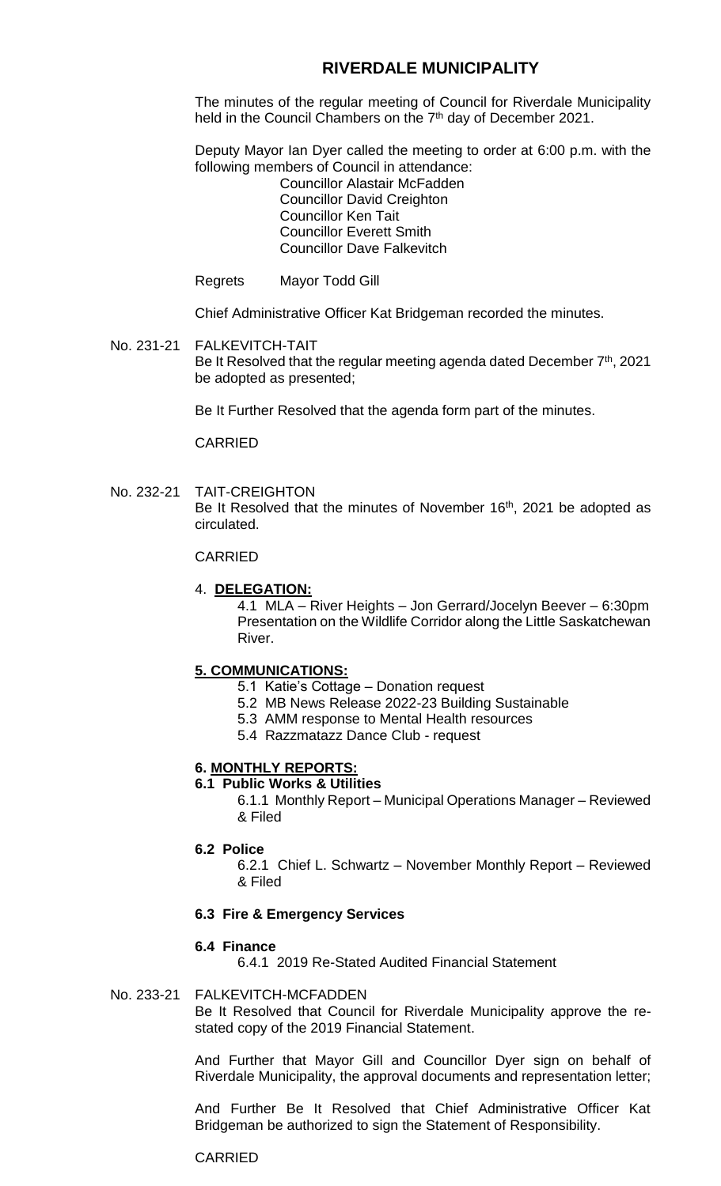# **RIVERDALE MUNICIPALITY**

The minutes of the regular meeting of Council for Riverdale Municipality held in the Council Chambers on the 7<sup>th</sup> day of December 2021.

Deputy Mayor Ian Dyer called the meeting to order at 6:00 p.m. with the following members of Council in attendance:

Councillor Alastair McFadden Councillor David Creighton Councillor Ken Tait Councillor Everett Smith Councillor Dave Falkevitch

Regrets Mayor Todd Gill

Chief Administrative Officer Kat Bridgeman recorded the minutes.

No. 231-21 FALKEVITCH-TAIT Be It Resolved that the regular meeting agenda dated December 7<sup>th</sup>, 2021 be adopted as presented;

Be It Further Resolved that the agenda form part of the minutes.

CARRIED

No. 232-21 TAIT-CREIGHTON Be It Resolved that the minutes of November 16<sup>th</sup>, 2021 be adopted as circulated.

### CARRIED

## 4. **DELEGATION:**

4.1 MLA – River Heights – Jon Gerrard/Jocelyn Beever – 6:30pm Presentation on the Wildlife Corridor along the Little Saskatchewan River.

### **5. COMMUNICATIONS:**

- 5.1 Katie's Cottage Donation request
- 5.2 MB News Release 2022-23 Building Sustainable
- 5.3 AMM response to Mental Health resources
- 5.4 Razzmatazz Dance Club request

# **6. MONTHLY REPORTS:**

# **6.1 Public Works & Utilities**

6.1.1 Monthly Report – Municipal Operations Manager – Reviewed & Filed

- **6.2 Police**
	- 6.2.1 Chief L. Schwartz November Monthly Report Reviewed & Filed

### **6.3 Fire & Emergency Services**

### **6.4 Finance**

6.4.1 2019 Re-Stated Audited Financial Statement

### No. 233-21 FALKEVITCH-MCFADDEN

Be It Resolved that Council for Riverdale Municipality approve the restated copy of the 2019 Financial Statement.

And Further that Mayor Gill and Councillor Dyer sign on behalf of Riverdale Municipality, the approval documents and representation letter;

And Further Be It Resolved that Chief Administrative Officer Kat Bridgeman be authorized to sign the Statement of Responsibility.

### CARRIED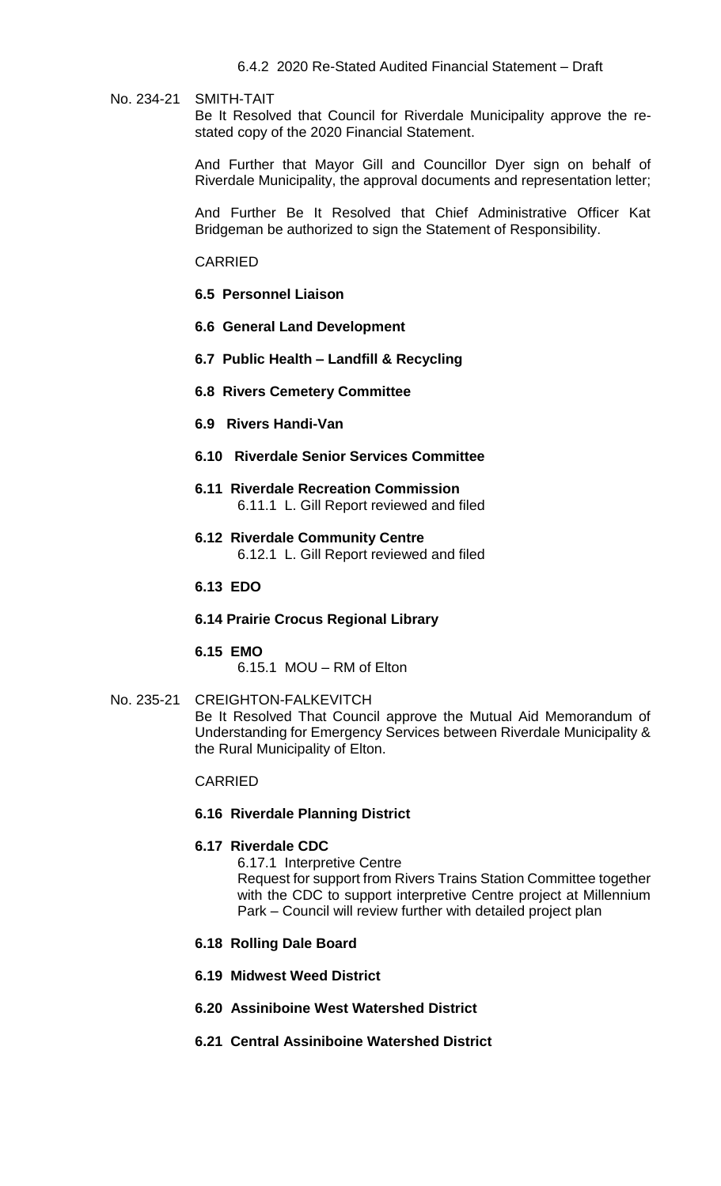#### No. 234-21 SMITH-TAIT

Be It Resolved that Council for Riverdale Municipality approve the restated copy of the 2020 Financial Statement.

And Further that Mayor Gill and Councillor Dyer sign on behalf of Riverdale Municipality, the approval documents and representation letter;

And Further Be It Resolved that Chief Administrative Officer Kat Bridgeman be authorized to sign the Statement of Responsibility.

#### CARRIED

- **6.5 Personnel Liaison**
- **6.6 General Land Development**
- **6.7 Public Health – Landfill & Recycling**
- **6.8 Rivers Cemetery Committee**
- **6.9 Rivers Handi-Van**

### **6.10 Riverdale Senior Services Committee**

- **6.11 Riverdale Recreation Commission** 6.11.1 L. Gill Report reviewed and filed
- **6.12 Riverdale Community Centre** 6.12.1 L. Gill Report reviewed and filed

#### **6.13 EDO**

**6.14 Prairie Crocus Regional Library**

#### **6.15 EMO**

6.15.1 MOU – RM of Elton

### No. 235-21 CREIGHTON-FALKEVITCH Be It Resolved That Council approve the Mutual Aid Memorandum of Understanding for Emergency Services between Riverdale Municipality & the Rural Municipality of Elton.

#### CARRIED

#### **6.16 Riverdale Planning District**

#### **6.17 Riverdale CDC**

6.17.1 Interpretive Centre Request for support from Rivers Trains Station Committee together with the CDC to support interpretive Centre project at Millennium

Park – Council will review further with detailed project plan

#### **6.18 Rolling Dale Board**

- **6.19 Midwest Weed District**
- **6.20 Assiniboine West Watershed District**
- **6.21 Central Assiniboine Watershed District**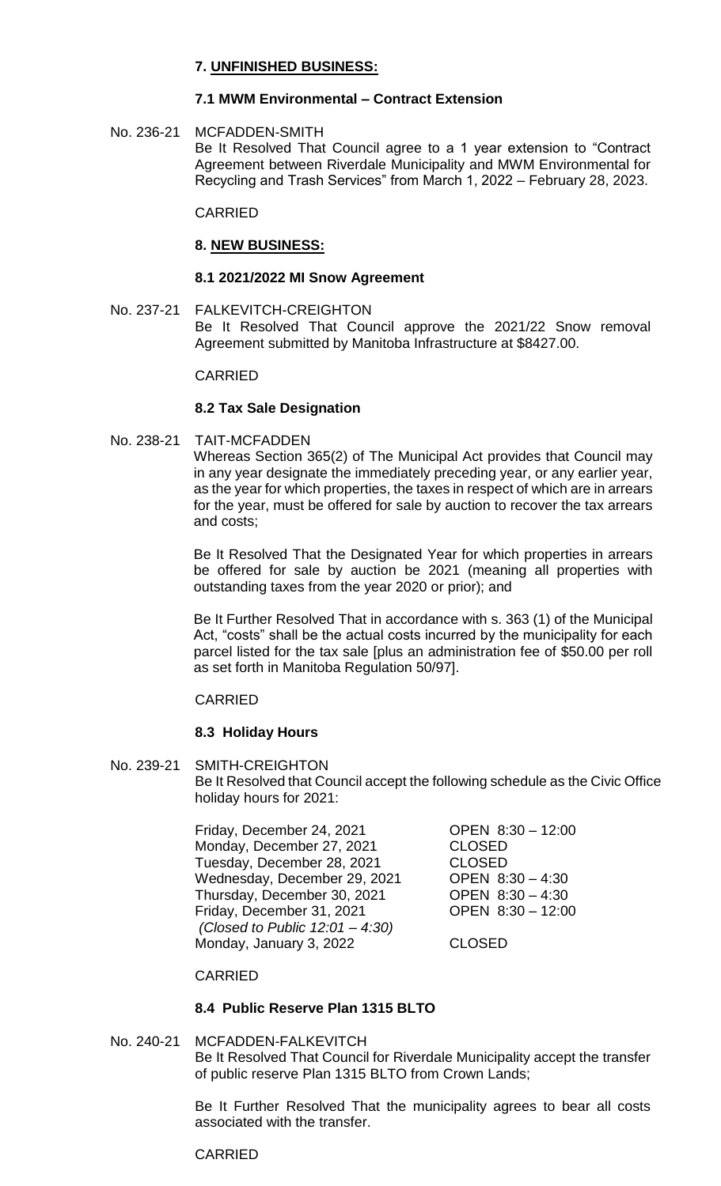# **7. UNFINISHED BUSINESS:**

## **7.1 MWM Environmental – Contract Extension**

No. 236-21 MCFADDEN-SMITH Be It Resolved That Council agree to a 1 year extension to "Contract Agreement between Riverdale Municipality and MWM Environmental for Recycling and Trash Services" from March 1, 2022 – February 28, 2023.

### CARRIED

### **8. NEW BUSINESS:**

#### **8.1 2021/2022 MI Snow Agreement**

No. 237-21 FALKEVITCH-CREIGHTON Be It Resolved That Council approve the 2021/22 Snow removal Agreement submitted by Manitoba Infrastructure at \$8427.00.

### CARRIED

### **8.2 Tax Sale Designation**

No. 238-21 TAIT-MCFADDEN

Whereas Section 365(2) of The Municipal Act provides that Council may in any year designate the immediately preceding year, or any earlier year, as the year for which properties, the taxes in respect of which are in arrears for the year, must be offered for sale by auction to recover the tax arrears and costs;

Be It Resolved That the Designated Year for which properties in arrears be offered for sale by auction be 2021 (meaning all properties with outstanding taxes from the year 2020 or prior); and

Be It Further Resolved That in accordance with s. 363 (1) of the Municipal Act, "costs" shall be the actual costs incurred by the municipality for each parcel listed for the tax sale [plus an administration fee of \$50.00 per roll as set forth in Manitoba Regulation 50/97].

### CARRIED

### **8.3 Holiday Hours**

No. 239-21 SMITH-CREIGHTON Be It Resolved that Council accept the following schedule as the Civic Office holiday hours for 2021:

> Friday, December 24, 2021 OPEN 8:30 – 12:00 Monday, December 27, 2021 CLOSED Tuesday, December 28, 2021 CLOSED<br>Wednesday, December 29, 2021 OPEN 8:30 - 4:30 Wednesday, December 29, 2021 Thursday, December 30, 2021 OPEN 8:30 – 4:30 Friday, December 31, 2021 OPEN 8:30 – 12:00 *(Closed to Public 12:01 – 4:30)* Monday, January 3, 2022 CLOSED

### CARRIED

# **8.4 Public Reserve Plan 1315 BLTO**

# No. 240-21 MCFADDEN-FALKEVITCH Be It Resolved That Council for Riverdale Municipality accept the transfer of public reserve Plan 1315 BLTO from Crown Lands;

Be It Further Resolved That the municipality agrees to bear all costs associated with the transfer.

### CARRIED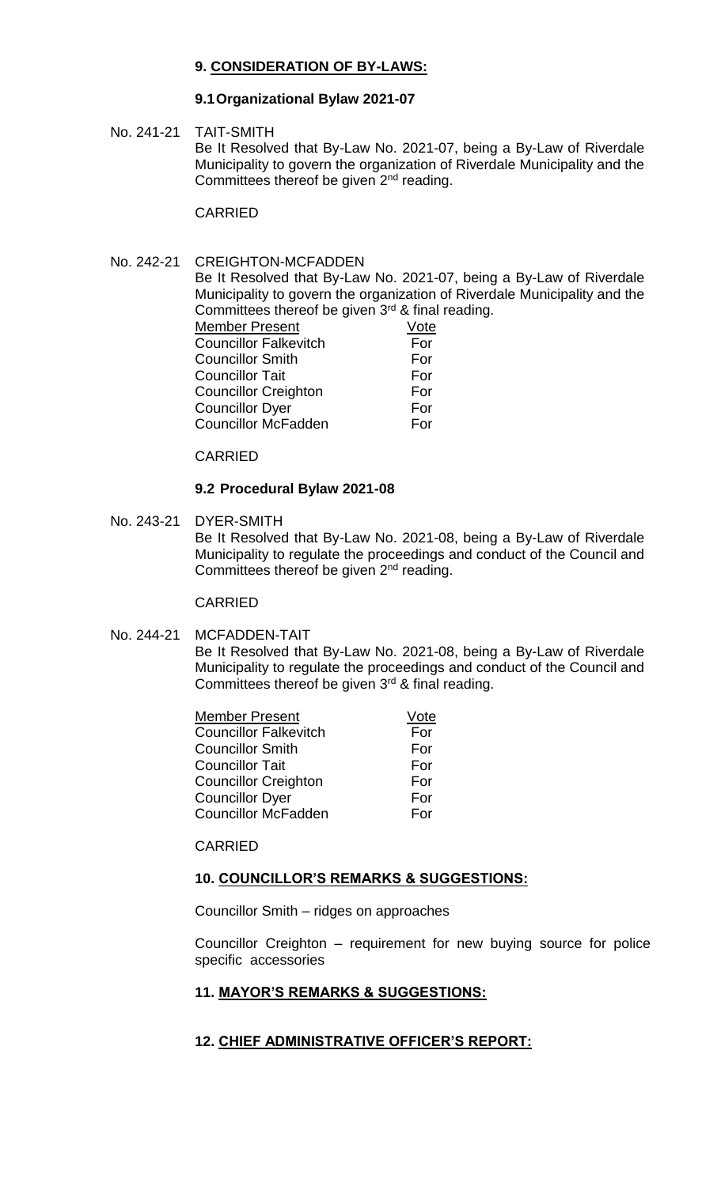# **9. CONSIDERATION OF BY-LAWS:**

## **9.1Organizational Bylaw 2021-07**

No. 241-21 TAIT-SMITH

Be It Resolved that By-Law No. 2021-07, being a By-Law of Riverdale Municipality to govern the organization of Riverdale Municipality and the Committees thereof be given 2<sup>nd</sup> reading.

CARRIED

# No. 242-21 CREIGHTON-MCFADDEN

Be It Resolved that By-Law No. 2021-07, being a By-Law of Riverdale Municipality to govern the organization of Riverdale Municipality and the Committees thereof be given  $3<sup>rd</sup>$  & final reading.

| Vote |
|------|
| For  |
| For  |
| For  |
| For  |
| For  |
| For  |
|      |

CARRIED

### **9.2 Procedural Bylaw 2021-08**

No. 243-21 DYER-SMITH Be It Resolved that By-Law No. 2021-08, being a By-Law of Riverdale Municipality to regulate the proceedings and conduct of the Council and Committees thereof be given 2<sup>nd</sup> reading.

### CARRIED

### No. 244-21 MCFADDEN-TAIT

Be It Resolved that By-Law No. 2021-08, being a By-Law of Riverdale Municipality to regulate the proceedings and conduct of the Council and Committees thereof be given  $3<sup>rd</sup>$  & final reading.

| Member Present               | Vote |
|------------------------------|------|
| <b>Councillor Falkevitch</b> | For  |
| <b>Councillor Smith</b>      | For  |
| Councillor Tait              | For  |
| <b>Councillor Creighton</b>  | For  |
| Councillor Dyer              | For  |
| <b>Councillor McFadden</b>   | For  |

#### CARRIED

### **10. COUNCILLOR'S REMARKS & SUGGESTIONS:**

Councillor Smith – ridges on approaches

Councillor Creighton – requirement for new buying source for police specific accessories

### **11. MAYOR'S REMARKS & SUGGESTIONS:**

# **12. CHIEF ADMINISTRATIVE OFFICER'S REPORT:**